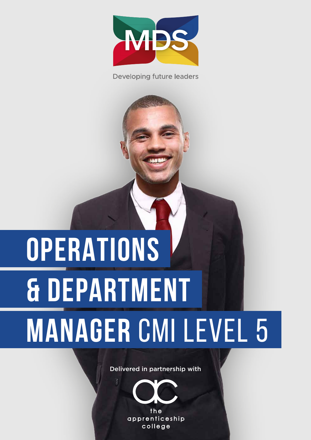

**Developing future leaders** 

# **OPERATIONS & DEPARTMENT MANAGER** CMI LEVEL 5

Delivered in partnership with

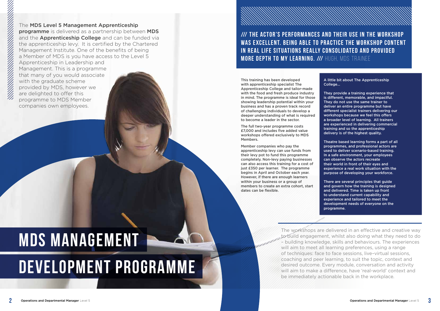The MDS Level 5 Management Apprenticeship programme is delivered as a partnership between MDS and the **Apprenticeship College** and can be funded via the apprenticeship levy. It is certified by the Chartered Management Institute. One of the benefits of being a Member of MDS is you have access to the Level 5 Apprenticeship in Leadership and

Management. This is a programme that many of you would associate with the graduate scheme provided by MDS, however we are delighted to offer this programme to MDS Member companies own employees.

This training has been developed with apprenticeship specialist The Apprenticeship College and tailor-made with the food and fresh produce industry in mind. The programme is ideal for those showing leadership potential within your business and has a proven track record of challenging individuals to develop a deeper understanding of what is required to become a leader in the sector.

The full two-year programme costs £7,000 and includes five added value workshops offered exclusively to MDS Members.

Member companies who pay the apprenticeship levy can use funds from their levy pot to fund this programme completely. Non-levy paying businesses can also access this training for a cost of just £350 per learner. The programme begins in April and October each year. However, if there are enough learners within your business or a group of members to create an extra cohort, start dates can be flexible.

A little bit about The Apprenticeship

College…

They provide a training experience that is different, memorable, and impactful. They do not use the same trainer to deliver an entire programme but have different specialist trainers delivering our workshops because we feel this offers a broader level of learning. All trainers are experienced in delivering commercial training and so the apprenticeship delivery is of the highest quality.

Theatre based learning forms a part of all programmes, and professional actors are used to deliver scenario-based training. In a safe environment, your employees can observe the actors recreate their world in front of their eyes and experience a real work situation with the purpose of developing your workforce.

There are several principles that guide and govern how the training is designed and delivered. Time is taken up front to understand current capability and experience and tailored to meet the development needs of everyone on the programme.

## **DEVELOPMENT PROGRAMME MDS MANAGEMENT**

#### **/// THE ACTOR'S PERFORMANCES AND THEIR USE IN THE WORKSHOP WAS EXCELLENT. BEING ABLE TO PRACTICE THE WORKSHOP CONTENT IN REAL LIFE SITUATIONS REALLY CONSOLIDATED AND PROVIDED MORE DEPTH TO MY LEARNING. /// HUGH, MDS TRAINEE**

The workshops are delivered in an effective and creative way to build engagement, whilst also doing what they need to do – building knowledge, skills and behaviours. The experiences will aim to meet all learning preferences, using a range of techniques: face to face sessions, live–virtual sessions, coaching and peer learning, to suit the topic, context and desired outcome. Every module, conversation and activity will aim to make a difference, have 'real-world' context and be immediately actionable back in the workplace.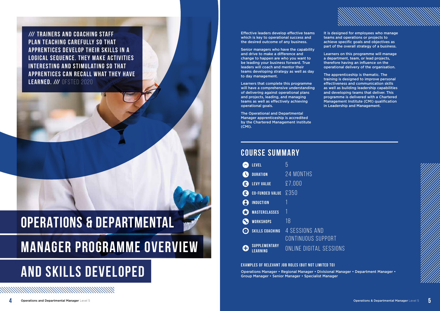**/// TRAINERS AND COACHING STAFF PLAN TEACHING CAREFULLY SO THAT APPRENTICES DEVELOP THEIR SKILLS IN A LOGICAL SEQUENCE. THEY MAKE ACTIVITIES INTERESTING AND STIMULATING SO THAT APPRENTICES CAN RECALL WHAT THEY HAVE LEARNED. /// OFSTED 2020** 

## **OPERATIONS & DEPARTMENTAL MANAGER PROGRAMME OVERVIEW**

## **AND Skills Developed**

*MMMMMMMMMMW* 

Effective leaders develop effective teams which is key to operational success and the desired outcome of any business.

Senior managers who have the capability and drive to make a difference and change to happen are who you want to be leading your business forward. True leaders will coach and mentor their teams developing strategy as well as day to day management.

Learners that complete this programme will have a comprehensive understanding of delivering against operational plans and projects, leading, and managing teams as well as effectively achieving operational goals.

The Operational and Departmental Manager apprenticeship is accredited by the Chartered Management Institute (CMI).

It is designed for employees who manage teams and operations or projects to achieve specific goals and objectives as part of the overall strategy of a business.

Learners on this programme will manage a department, team, or lead projects, therefore having an influence on the operational delivery of the organisation.

The apprenticeship is thematic. The training is designed to improve personal effectiveness and communication skills as well as building leadership capabilities and developing teams that deliver. This programme is delivered with a Chartered Management Institute (CMI) qualification in Leadership and Management.



|                          | LEVEL                           | b                       |
|--------------------------|---------------------------------|-------------------------|
|                          | <b>DURATION</b>                 | 24 MONTHS               |
| £                        | <b>LEVY VALUE</b>               | £7,000                  |
| $\mathbf{E}$             | <b>CO-FUNDED VALUE</b>          | £350                    |
|                          | <b>INDUCTION</b>                |                         |
|                          | <b>MASTERCLASSES</b>            |                         |
|                          | <b>WORKSHOPS</b>                | 18                      |
| $\left( \bullet \right)$ | <b>SKILLS COACHING</b>          | 4 SESSIONS AND          |
|                          |                                 | CONTINUOUS SUPPORT      |
| Ð                        | SUPPLEMENTARY<br><b>EARNING</b> | ONLINE DIGITAL SESSIONS |

**Examples of Relevant job roles (BUT NOT LIMITED TO)** Operations Manager • Regional Manager • Divisional Manager • Department Manager • Group Manager • Senior Manager • Specialist Manager

#### **Course Summary**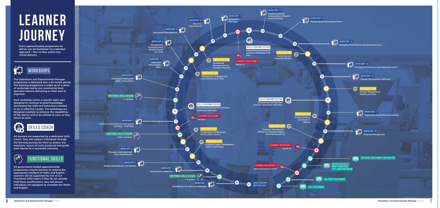

The Operations and Departmental Manager programme is delivered over a 24 month period. The learning programme is made up of a series of workshops led by our commercial level, specialist trainers delivering on their area of expertise.

Each workshop covers a specific topic area designed to continue to build knowledge, developing key skills and behaviours needed to be an effective Leader. The workshops are designed carefully to enhance the capabilities of the learner and to be utilised as soon as they return to work.

All learners are supported by a dedicated Skills Coach. They will support individuals through the learning journey, be there to answer any questions, assess all work produced and guide each learner to a successful outcome.

All government funded apprenticeship programmes require learners to achieve the appropriate standard of Maths and English. Learners will be supported by one of our Functional Skills tutors if they do not already hold these qualifications, who will ensure individuals are equipped to complete the Maths and English.

# **Learner Journey**





Every apprenticeship programme we deliver can be facilitated via a blended approach – face to face and/or live, virtual delivery.

**VORKSHOPS**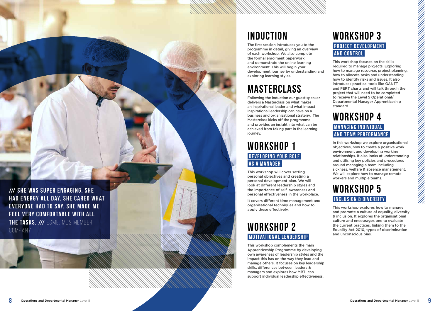## **Induction**

The first session introduces you to the programme in detail, giving an overview of each workshop. We also complete the formal enrolment paperwork and demonstrate the online learning environment. This will begin your development journey by understanding and exploring learning styles.

## **Masterclass**

Following the induction our guest speaker delivers a Masterclass on what makes an inspirational leader and what impact inspirational leadership can have on a business and organisational strategy. The Masterclass kicks off the programme and provides an insight into what can be achieved from taking part in the learning journey.

#### **WORKSHOP 1 DEVELOPING YOUR ROLE AS A MANAGER**

#### **WORKSHOP 3 PROJECT DEVELOPMENT AND CONTROL**

This workshop will cover setting personal objectives and creating a personal development plan. We will look at different leadership styles and the importance of self–awareness and personal effectiveness in the workplace.

#### **WORKSHOP 4 MANAGING INDIVIDUAL AND TEAM PERFORMANCE**

It covers different time management and organisational techniques and how to apply these effectively.

### **WORKSHOP 2 Motivational Leadership**

## **WORKSHOP 5 INCLUSION & DIVERSITY**

This workshop complements the main Apprenticeship Programme by developing own awareness of leadership styles and the impact this has on the way they lead and manage others. It focuses on key leadership skills, differences between leaders & managers and explores how MBTI can support individual leadership effectiveness.

This workshop focuses on the skills required to manage projects. Exploring how to manage resource, project planning, how to allocate tasks and understanding how to identify risks and issues. It also introduces practical tools like GANTT and PERT charts and will talk through the project that will need to be completed to receive the Level 5 Operational/ Departmental Manager Apprenticeship standard.

In this workshop we explore organisational objectives, how to create a positive work environment and developing working relationships. It also looks at understanding and utilising key policies and procedures around managing a team including sickness, welfare & absence management. We will explore how to manage remote workers and multiple teams.

This workshop explores how to manage and promote a culture of equality, diversity & inclusion. It explores the organisational culture and encourages one to evaluate the current practices, linking them to the Equality Act 2010, types of discrimination and unconscious bias.

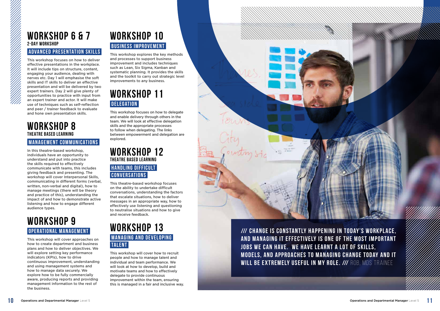### **WORKSHOP 6 & 7 2-DAY WORKSHOP**

#### **ADVANCED PRESENTATION SKILLS**

#### **WORKSHOP 8 THEATRE BASED LEARNING MANAGEMENT COMMUNICATIONS**

This workshop focuses on how to deliver effective presentations in the workplace. It will include tips on structure, content, engaging your audience, dealing with nerves etc. Day 1 will emphasise the soft skills and IT skills to deliver an effective presentation and will be delivered by two expert trainers. Day 2 will give plenty of opportunities to practice with input from an expert trainer and actor. It will make use of techniques such as self-reflection and peer / trainer feedback to evaluate and hone own presentation skills.

## **WORKSHOP 10 BUSINESS IMPROVEMENT**

In this theatre-based workshop, individuals have an opportunity to understand and put into practice the skills required to effectively communicate with teams, this includes giving feedback and presenting. The workshop will cover Interpersonal Skills, communicating in different forms (verbal, written, non-verbal and digital), how to manage meetings (there will be theory and practice of this), understanding the impact of and how to demonstrate active listening and how to engage different audience types.

### **WORKSHOP 11 DELEGATION**

## **WORKSHOP 9 Operational Management**

This workshop will cover approaches on how to create department and business plans and how to deliver objectives. We will explore setting key performance indicators (KPIs), how to drive continuous improvement, understanding and using management systems and how to manage data securely. We explore how to be fully commercially aware, producing reports and providing management information to the rest of the business.

This workshop explores the key methods and processes to support business improvement and includes techniques such as Lean, Six Sigma, Kanban and systematic planning. It provides the skills and the toolkit to carry out strategic level improvements to any business.

This workshop focuses on how to delegate and enable delivery through others in the team. We will look at effective delegation skills and the appropriate processes to follow when delegating. The links between empowerment and delegation are explored.

#### **WORKSHOP 12 THEATRE BASED LEARNING HANDLING DIFFICULT Conversations**

This theatre-based workshop focuses on the ability to undertake difficult conversations, understanding the factors that escalate situations, how to deliver messages in an appropriate way, how to effectively use listening and questioning to neutralise situations and how to give and receive feedback.

#### **WORKSHOP 13 MANAGING AND DEVELOPING Talent**

This workshop will cover how to recruit people and how to manage talent and individual and team performance. We will look at how to develop, build and motivate teams and how to effectively delegate to provide continuous improvement within the team, ensuring this is managed in a fair and inclusive way.



**/// CHANGE IS CONSTANTLY HAPPENING IN TODAY'S WORKPLACE, AND MANAGING IT EFFECTIVELY IS ONE OF THE MOST IMPORTANT JOBS WE CAN HAVE. WE HAVE LEARNT A LOT OF SKILLS, MODELS, AND APPROACHES TO MANAGING CHANGE TODAY AND IT WILL BE EXTREMELY USEFUL IN MY ROLE. /// ROB, MDS TRAINEE**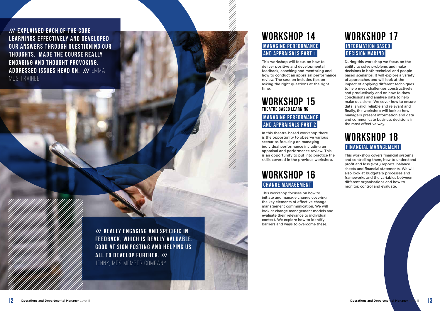**/// EXPLAINED EACH OF THE CORE** LEARNINGS EFFECTIVELY AND DEVELOPED **OUR ANSWERS THROUGH QUESTIONING OUR THOUGHTS. MADE THE COURSE REALLY ENGAGING AND THOUGHT PROVOKING. ADDRESSED ISSUES HEAD ON. /// EMMA** MDS TRAINFF

> **/// REALLY ENGAGING AND SPECIFIC IN FEEDBACK, WHICH IS REALLY VALUABLE. GOOD AT SIGN POSTING AND HELPING US ALL TO DEVELOP FURTHER. ///** JENNY, MDS MEMBER COMPANY

#### **WORKSHOP 14 MANAGING PERFORMANCE and Appraisals Part 1**

This workshop will focus on how to deliver positive and developmental feedback, coaching and mentoring and how to conduct an appraisal performance review. The session includes tips on asking the right questions at the right time.

## **WORKSHOP 16 CHANGE MANAGEMENT**

#### **WORKSHOP 15 THEATRE BASED LEARNING**

#### **MANAGING PERFORMANCE AND APPRAISALS PART 2**

In this theatre-based workshop there is the opportunity to observe various scenarios focusing on managing individual performance including an appraisal and performance review. This is an opportunity to put into practice the skills covered in the previous workshop.

## **WORKSHOP 18 FINANCIAL MANAGEMENT**

This workshop focuses on how to initiate and manage change covering the key elements of effective change management communication. We will look at change management models and evaluate their relevance to individual context. We explore how to identify barriers and ways to overcome these.

#### **WORKSHOP 17 INFORMATION BASED Decision Making**

During this workshop we focus on the ability to solve problems and make decisions in both technical and peoplebased scenarios. It will explore a variety of approaches and will look at the impact of applying different techniques to help meet challenges constructively and productively and on how to draw conclusions and analyse data to help make decisions. We cover how to ensure data is valid, reliable and relevant and finally, the workshop will look at how managers present information and data and communicate business decisions in the most effective way.

This workshop covers financial systems and controlling them, how to understand profit and loss (P&L) reports, balance sheets and financial statements. We will also look at budgetary processes and frameworks and the variables between different organisations and how to monitor, control and evaluate.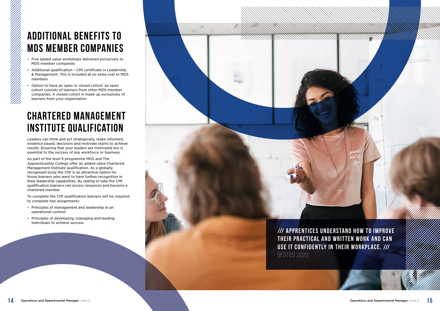- Five added value workshops delivered exclusively to MDS member companies
- Additional qualification CMI certificate in Leadership & Management. This is included at no extra cost to MDS members
- Option to have an open or closed cohort: an open cohort consists of learners from other MDS member companies. A closed cohort is made up exclusively of learners from your organisation

## **Chartered Management Institute qualification**

Leaders can think and act strategically, make informed, evidence based, decisions and motivate teams to achieve results. Ensuring that your leaders are motivated too is essential to the success of any workforce or business.

> **/// APPRENTICES UNDERSTAND HOW TO IMPROVE THEIR PRACTICAL AND WRITTEN WORK AND CAN USE IT CONFIDENTLY IN THEIR WORKPLACE. ///** OFSTED 2020

75

As part of the level 5 programme MDS and The Apprenticeship College offer an added value Chartered Management Institute qualification. As a globally recognised body the CMI is an attractive option for those learners who want to have further recognition in their leadership capabilities. By opting to take the CMI qualification learners can access resources and become a chartered member.

To complete the CMI qualification learners will be required to complete two assignments:

- Principles of management and leadership in an operational context
- Principles of developing, managing and leading individuals to achieve success